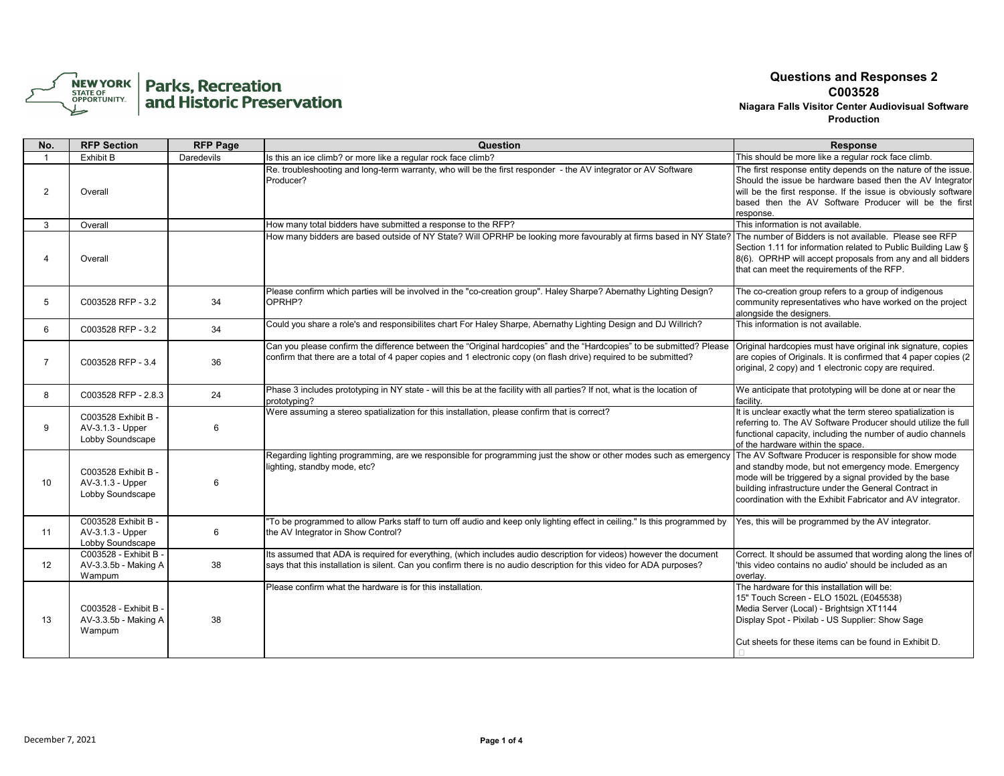

| No.            | <b>RFP Section</b>                                          | <b>RFP Page</b> | Question                                                                                                                                                                                                                                     | <b>Response</b>                                                                                                                                                                                                                                                                                 |
|----------------|-------------------------------------------------------------|-----------------|----------------------------------------------------------------------------------------------------------------------------------------------------------------------------------------------------------------------------------------------|-------------------------------------------------------------------------------------------------------------------------------------------------------------------------------------------------------------------------------------------------------------------------------------------------|
| $\overline{1}$ | Exhibit B                                                   | Daredevils      | Is this an ice climb? or more like a regular rock face climb?                                                                                                                                                                                | This should be more like a regular rock face climb.                                                                                                                                                                                                                                             |
| 2              | Overall                                                     |                 | Re. troubleshooting and long-term warranty, who will be the first responder - the AV integrator or AV Software<br>Producer?                                                                                                                  | The first response entity depends on the nature of the issue.<br>Should the issue be hardware based then the AV Integrator<br>will be the first response. If the issue is obviously software<br>based then the AV Software Producer will be the first<br>response.                              |
| 3              | Overall                                                     |                 | How many total bidders have submitted a response to the RFP?                                                                                                                                                                                 | This information is not available.                                                                                                                                                                                                                                                              |
| Δ              | Overall                                                     |                 | How many bidders are based outside of NY State? Will OPRHP be looking more favourably at firms based in NY State?                                                                                                                            | The number of Bidders is not available. Please see RFP<br>Section 1.11 for information related to Public Building Law §<br>8(6). OPRHP will accept proposals from any and all bidders<br>that can meet the requirements of the RFP.                                                             |
| 5              | C003528 RFP - 3.2                                           | 34              | Please confirm which parties will be involved in the "co-creation group". Haley Sharpe? Abernathy Lighting Design?<br>OPRHP?                                                                                                                 | The co-creation group refers to a group of indigenous<br>community representatives who have worked on the project<br>alongside the designers.                                                                                                                                                   |
| 6              | C003528 RFP - 3.2                                           | 34              | Could you share a role's and responsibilites chart For Haley Sharpe, Abernathy Lighting Design and DJ Willrich?                                                                                                                              | This information is not available.                                                                                                                                                                                                                                                              |
| 7              | C003528 RFP - 3.4                                           | 36              | Can you please confirm the difference between the "Original hardcopies" and the "Hardcopies" to be submitted? Please<br>confirm that there are a total of 4 paper copies and 1 electronic copy (on flash drive) required to be submitted?    | Original hardcopies must have original ink signature, copies<br>are copies of Originals. It is confirmed that 4 paper copies (2)<br>original, 2 copy) and 1 electronic copy are required.                                                                                                       |
| 8              | C003528 RFP - 2.8.3                                         | 24              | Phase 3 includes prototyping in NY state - will this be at the facility with all parties? If not, what is the location of<br>prototyping?                                                                                                    | We anticipate that prototyping will be done at or near the<br>facility.                                                                                                                                                                                                                         |
| 9              | C003528 Exhibit B -<br>AV-3.1.3 - Upper<br>Lobby Soundscape | 6               | Were assuming a stereo spatialization for this installation, please confirm that is correct?                                                                                                                                                 | It is unclear exactly what the term stereo spatialization is<br>referring to. The AV Software Producer should utilize the full<br>functional capacity, including the number of audio channels<br>of the hardware within the space.                                                              |
| 10             | C003528 Exhibit B -<br>AV-3.1.3 - Upper<br>Lobby Soundscape | 6               | Regarding lighting programming, are we responsible for programming just the show or other modes such as emergency<br>lighting, standby mode, etc?                                                                                            | The AV Software Producer is responsible for show mode<br>and standby mode, but not emergency mode. Emergency<br>mode will be triggered by a signal provided by the base<br>building infrastructure under the General Contract in<br>coordination with the Exhibit Fabricator and AV integrator. |
| 11             | C003528 Exhibit B -<br>AV-3.1.3 - Upper<br>Lobby Soundscape | 6               | 'To be programmed to allow Parks staff to turn off audio and keep only lighting effect in ceiling." Is this programmed by<br>the AV Integrator in Show Control?                                                                              | Yes, this will be programmed by the AV integrator.                                                                                                                                                                                                                                              |
| 12             | C003528 - Exhibit B -<br>AV-3.3.5b - Making A<br>Wampum     | 38              | Its assumed that ADA is required for everything, (which includes audio description for videos) however the document<br>says that this installation is silent. Can you confirm there is no audio description for this video for ADA purposes? | Correct. It should be assumed that wording along the lines of<br>'this video contains no audio' should be included as an<br>overlav.                                                                                                                                                            |
| 13             | C003528 - Exhibit B -<br>AV-3.3.5b - Making A<br>Wampum     | 38              | Please confirm what the hardware is for this installation.                                                                                                                                                                                   | The hardware for this installation will be:<br>15" Touch Screen - ELO 1502L (E045538)<br>Media Server (Local) - Brightsign XT1144<br>Display Spot - Pixilab - US Supplier: Show Sage<br>Cut sheets for these items can be found in Exhibit D.                                                   |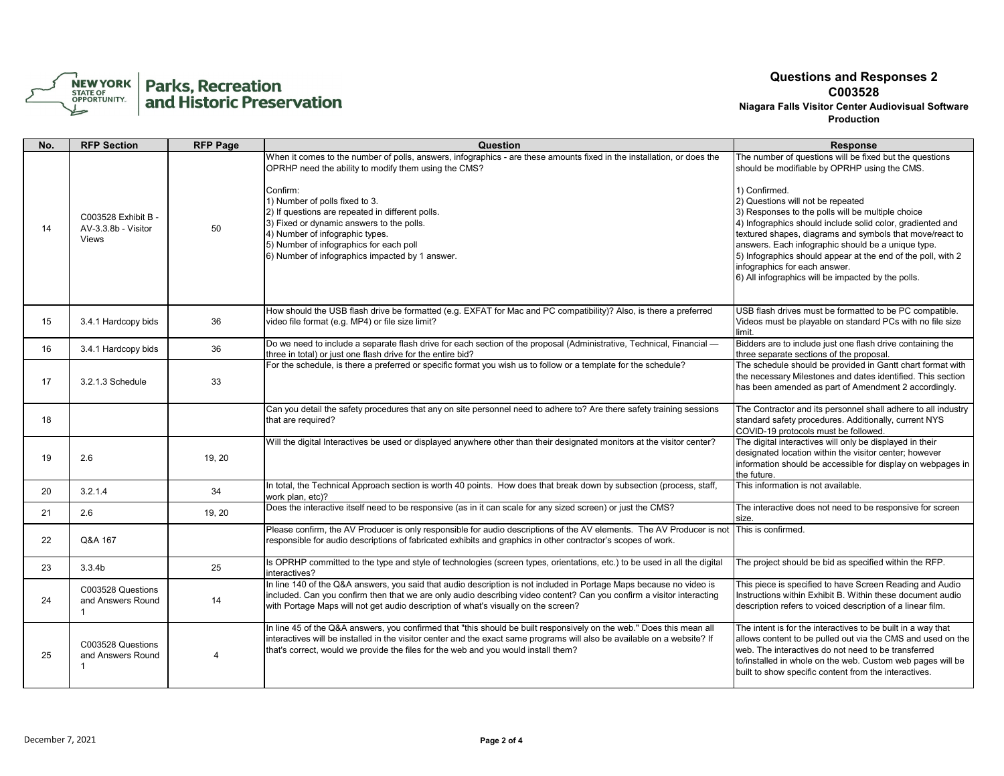

| No. | <b>RFP Section</b>                                       | <b>RFP Page</b>       | Question                                                                                                                                                                                                                                                                                                                               | <b>Response</b>                                                                                                                                                                                                                                                                                                                                                                                                               |
|-----|----------------------------------------------------------|-----------------------|----------------------------------------------------------------------------------------------------------------------------------------------------------------------------------------------------------------------------------------------------------------------------------------------------------------------------------------|-------------------------------------------------------------------------------------------------------------------------------------------------------------------------------------------------------------------------------------------------------------------------------------------------------------------------------------------------------------------------------------------------------------------------------|
|     |                                                          |                       | When it comes to the number of polls, answers, infographics - are these amounts fixed in the installation, or does the<br>OPRHP need the ability to modify them using the CMS?<br>Confirm:                                                                                                                                             | The number of questions will be fixed but the questions<br>should be modifiable by OPRHP using the CMS.<br>1) Confirmed.                                                                                                                                                                                                                                                                                                      |
| 14  | C003528 Exhibit B -<br>AV-3.3.8b - Visitor<br>Views      | 50                    | 1) Number of polls fixed to 3.<br>(2) If questions are repeated in different polls.<br>3) Fixed or dynamic answers to the polls.<br>4) Number of infographic types.<br>5) Number of infographics for each poll<br>6) Number of infographics impacted by 1 answer.                                                                      | 2) Questions will not be repeated<br>3) Responses to the polls will be multiple choice<br>4) Infographics should include solid color, gradiented and<br>textured shapes, diagrams and symbols that move/react to<br>answers. Each infographic should be a unique type.<br>5) Infographics should appear at the end of the poll, with 2<br>infographics for each answer.<br>6) All infographics will be impacted by the polls. |
| 15  | 3.4.1 Hardcopy bids                                      | 36                    | How should the USB flash drive be formatted (e.g. EXFAT for Mac and PC compatibility)? Also, is there a preferred<br>video file format (e.g. MP4) or file size limit?                                                                                                                                                                  | USB flash drives must be formatted to be PC compatible.<br>Videos must be playable on standard PCs with no file size<br>limit.                                                                                                                                                                                                                                                                                                |
| 16  | 3.4.1 Hardcopy bids                                      | 36                    | Do we need to include a separate flash drive for each section of the proposal (Administrative, Technical, Financial -<br>three in total) or just one flash drive for the entire bid?                                                                                                                                                   | Bidders are to include just one flash drive containing the<br>three separate sections of the proposal.                                                                                                                                                                                                                                                                                                                        |
| 17  | 3.2.1.3 Schedule                                         | 33                    | For the schedule, is there a preferred or specific format you wish us to follow or a template for the schedule?                                                                                                                                                                                                                        | The schedule should be provided in Gantt chart format with<br>the necessary Milestones and dates identified. This section<br>has been amended as part of Amendment 2 accordingly.                                                                                                                                                                                                                                             |
| 18  |                                                          |                       | Can you detail the safety procedures that any on site personnel need to adhere to? Are there safety training sessions<br>that are required?                                                                                                                                                                                            | The Contractor and its personnel shall adhere to all industry<br>standard safety procedures. Additionally, current NYS<br>COVID-19 protocols must be followed.                                                                                                                                                                                                                                                                |
| 19  | 2.6                                                      | 19, 20                | Will the digital Interactives be used or displayed anywhere other than their designated monitors at the visitor center?                                                                                                                                                                                                                | The digital interactives will only be displayed in their<br>designated location within the visitor center; however<br>information should be accessible for display on webpages in<br>the future.                                                                                                                                                                                                                              |
| 20  | 3.2.1.4                                                  | 34                    | In total, the Technical Approach section is worth 40 points. How does that break down by subsection (process, staff,<br>work plan, etc)?                                                                                                                                                                                               | This information is not available.                                                                                                                                                                                                                                                                                                                                                                                            |
| 21  | 2.6                                                      | 19, 20                | Does the interactive itself need to be responsive (as in it can scale for any sized screen) or just the CMS?                                                                                                                                                                                                                           | The interactive does not need to be responsive for screen<br>size.                                                                                                                                                                                                                                                                                                                                                            |
| 22  | Q&A 167                                                  |                       | Please confirm, the AV Producer is only responsible for audio descriptions of the AV elements. The AV Producer is not<br>responsible for audio descriptions of fabricated exhibits and graphics in other contractor's scopes of work.                                                                                                  | This is confirmed.                                                                                                                                                                                                                                                                                                                                                                                                            |
| 23  | 3.3.4 <sub>b</sub>                                       | 25                    | Is OPRHP committed to the type and style of technologies (screen types, orientations, etc.) to be used in all the digital<br>interactives?                                                                                                                                                                                             | The project should be bid as specified within the RFP.                                                                                                                                                                                                                                                                                                                                                                        |
| 24  | C003528 Questions<br>and Answers Round<br>$\overline{1}$ | 14                    | In line 140 of the Q&A answers, you said that audio description is not included in Portage Maps because no video is<br>included. Can you confirm then that we are only audio describing video content? Can you confirm a visitor interacting<br>with Portage Maps will not get audio description of what's visually on the screen?     | This piece is specified to have Screen Reading and Audio<br>Instructions within Exhibit B. Within these document audio<br>description refers to voiced description of a linear film.                                                                                                                                                                                                                                          |
| 25  | C003528 Questions<br>and Answers Round<br>1              | $\boldsymbol{\Delta}$ | In line 45 of the Q&A answers, you confirmed that "this should be built responsively on the web." Does this mean all<br>interactives will be installed in the visitor center and the exact same programs will also be available on a website? If<br>that's correct, would we provide the files for the web and you would install them? | The intent is for the interactives to be built in a way that<br>allows content to be pulled out via the CMS and used on the<br>web. The interactives do not need to be transferred<br>to/installed in whole on the web. Custom web pages will be<br>built to show specific content from the interactives.                                                                                                                     |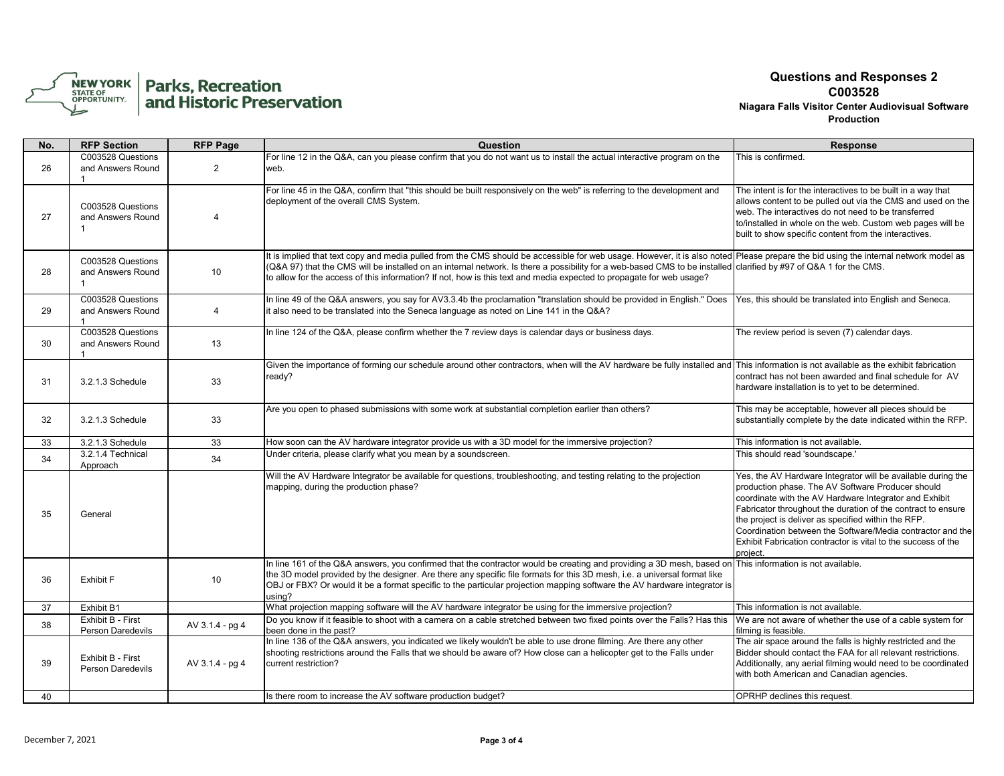

| No. | <b>RFP Section</b>                                     | <b>RFP Page</b> | Question                                                                                                                                                                                                                                                                                                                                                                                                                                                                         | <b>Response</b>                                                                                                                                                                                                                                                                                                                                                                                                                               |
|-----|--------------------------------------------------------|-----------------|----------------------------------------------------------------------------------------------------------------------------------------------------------------------------------------------------------------------------------------------------------------------------------------------------------------------------------------------------------------------------------------------------------------------------------------------------------------------------------|-----------------------------------------------------------------------------------------------------------------------------------------------------------------------------------------------------------------------------------------------------------------------------------------------------------------------------------------------------------------------------------------------------------------------------------------------|
| 26  | C003528 Questions<br>and Answers Round                 | 2               | For line 12 in the Q&A, can you please confirm that you do not want us to install the actual interactive program on the<br>web.                                                                                                                                                                                                                                                                                                                                                  | This is confirmed.                                                                                                                                                                                                                                                                                                                                                                                                                            |
| 27  | C003528 Questions<br>and Answers Round<br>$\mathbf{1}$ | $\overline{4}$  | For line 45 in the Q&A, confirm that "this should be built responsively on the web" is referring to the development and<br>deployment of the overall CMS System.                                                                                                                                                                                                                                                                                                                 | The intent is for the interactives to be built in a way that<br>allows content to be pulled out via the CMS and used on the<br>web. The interactives do not need to be transferred<br>to/installed in whole on the web. Custom web pages will be<br>built to show specific content from the interactives.                                                                                                                                     |
| 28  | C003528 Questions<br>and Answers Round                 | 10              | It is implied that text copy and media pulled from the CMS should be accessible for web usage. However, it is also noted Please prepare the bid using the internal network model as<br>(Q&A 97) that the CMS will be installed on an internal network. Is there a possibility for a web-based CMS to be installed clarified by #97 of Q&A 1 for the CMS.<br>to allow for the access of this information? If not, how is this text and media expected to propagate for web usage? |                                                                                                                                                                                                                                                                                                                                                                                                                                               |
| 29  | C003528 Questions<br>and Answers Round                 | $\overline{4}$  | In line 49 of the Q&A answers, you say for AV3.3.4b the proclamation "translation should be provided in English." Does<br>it also need to be translated into the Seneca language as noted on Line 141 in the Q&A?                                                                                                                                                                                                                                                                | Yes, this should be translated into English and Seneca.                                                                                                                                                                                                                                                                                                                                                                                       |
| 30  | C003528 Questions<br>and Answers Round                 | 13              | In line 124 of the Q&A, please confirm whether the 7 review days is calendar days or business days.                                                                                                                                                                                                                                                                                                                                                                              | The review period is seven (7) calendar days.                                                                                                                                                                                                                                                                                                                                                                                                 |
| 31  | 3.2.1.3 Schedule                                       | 33              | Given the importance of forming our schedule around other contractors, when will the AV hardware be fully installed and This information is not available as the exhibit fabrication<br>ready?                                                                                                                                                                                                                                                                                   | contract has not been awarded and final schedule for AV<br>hardware installation is to yet to be determined.                                                                                                                                                                                                                                                                                                                                  |
| 32  | 3.2.1.3 Schedule                                       | 33              | Are you open to phased submissions with some work at substantial completion earlier than others?                                                                                                                                                                                                                                                                                                                                                                                 | This may be acceptable, however all pieces should be<br>substantially complete by the date indicated within the RFP.                                                                                                                                                                                                                                                                                                                          |
| 33  | 3.2.1.3 Schedule                                       | 33              | How soon can the AV hardware integrator provide us with a 3D model for the immersive projection?                                                                                                                                                                                                                                                                                                                                                                                 | This information is not available.                                                                                                                                                                                                                                                                                                                                                                                                            |
| 34  | 3.2.1.4 Technical<br>Approach                          | 34              | Under criteria, please clarify what you mean by a soundscreen.                                                                                                                                                                                                                                                                                                                                                                                                                   | This should read 'soundscape.'                                                                                                                                                                                                                                                                                                                                                                                                                |
| 35  | General                                                |                 | Will the AV Hardware Integrator be available for guestions, troubleshooting, and testing relating to the projection<br>mapping, during the production phase?                                                                                                                                                                                                                                                                                                                     | Yes, the AV Hardware Integrator will be available during the<br>production phase. The AV Software Producer should<br>coordinate with the AV Hardware Integrator and Exhibit<br>Fabricator throughout the duration of the contract to ensure<br>the project is deliver as specified within the RFP.<br>Coordination between the Software/Media contractor and the<br>Exhibit Fabrication contractor is vital to the success of the<br>project. |
| 36  | <b>Exhibit F</b>                                       | 10              | In line 161 of the Q&A answers, you confirmed that the contractor would be creating and providing a 3D mesh, based on This information is not available.<br>the 3D model provided by the designer. Are there any specific file formats for this 3D mesh, i.e. a universal format like<br>OBJ or FBX? Or would it be a format specific to the particular projection mapping software the AV hardware integrator is<br>using?                                                      |                                                                                                                                                                                                                                                                                                                                                                                                                                               |
| 37  | Exhibit B1                                             |                 | What projection mapping software will the AV hardware integrator be using for the immersive projection?                                                                                                                                                                                                                                                                                                                                                                          | This information is not available.                                                                                                                                                                                                                                                                                                                                                                                                            |
| 38  | Exhibit B - First<br>Person Daredevils                 | AV 3.1.4 - pg 4 | Do you know if it feasible to shoot with a camera on a cable stretched between two fixed points over the Falls? Has this<br>been done in the past?                                                                                                                                                                                                                                                                                                                               | We are not aware of whether the use of a cable system for<br>filming is feasible.                                                                                                                                                                                                                                                                                                                                                             |
| 39  | Exhibit B - First<br><b>Person Daredevils</b>          | AV 3.1.4 - pg 4 | In line 136 of the Q&A answers, you indicated we likely wouldn't be able to use drone filming. Are there any other<br>shooting restrictions around the Falls that we should be aware of? How close can a helicopter get to the Falls under<br>current restriction?                                                                                                                                                                                                               | The air space around the falls is highly restricted and the<br>Bidder should contact the FAA for all relevant restrictions.<br>Additionally, any aerial filming would need to be coordinated<br>with both American and Canadian agencies.                                                                                                                                                                                                     |
| 40  |                                                        |                 | Is there room to increase the AV software production budget?                                                                                                                                                                                                                                                                                                                                                                                                                     | OPRHP declines this request.                                                                                                                                                                                                                                                                                                                                                                                                                  |